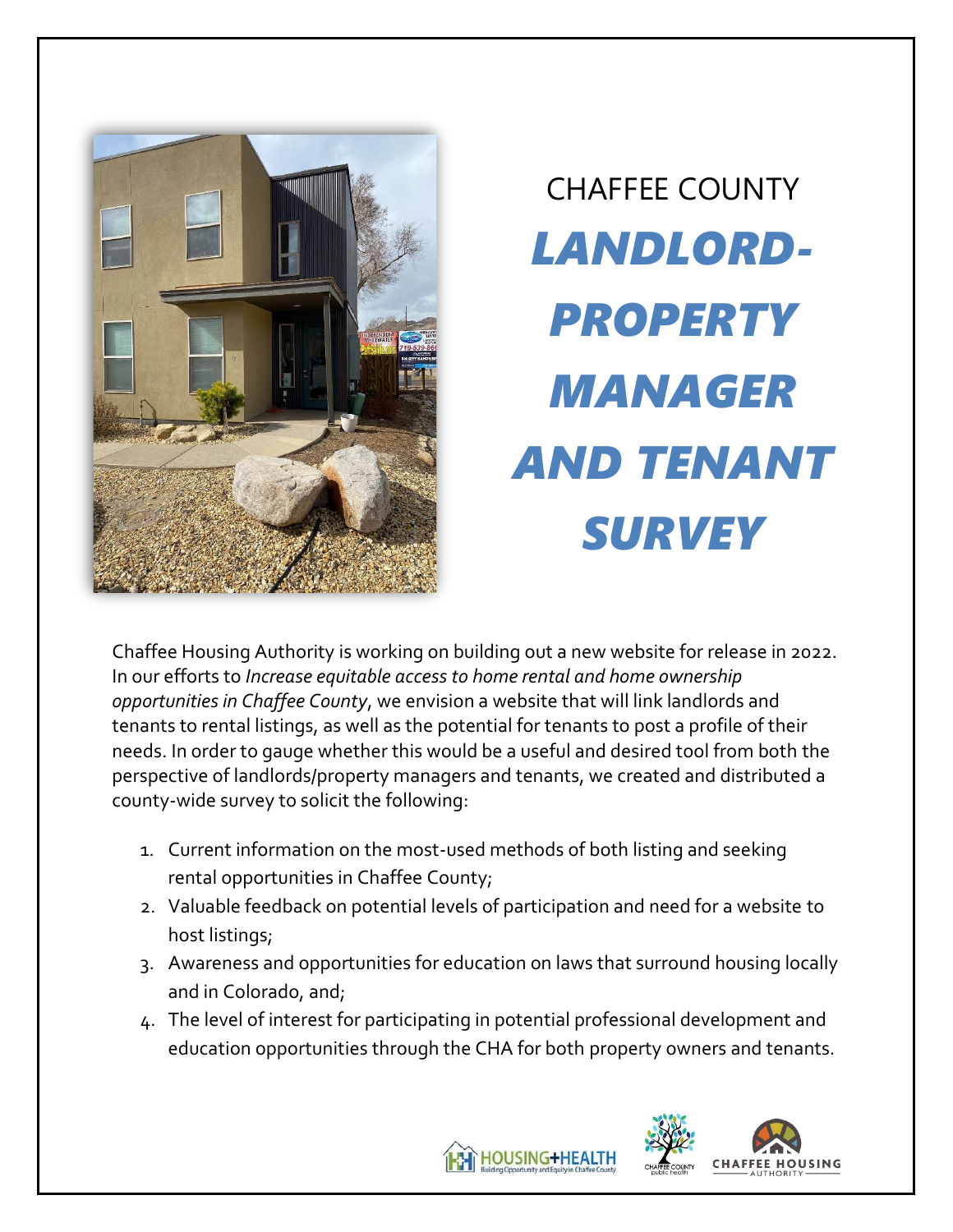

# CHAFFEE COUNTY *LANDLORD-PROPERTY MANAGER AND TENANT SURVEY*

Chaffee Housing Authority is working on building out a new website for release in 2022. In our efforts to *Increase equitable access to home rental and home ownership opportunities in Chaffee County*, we envision a website that will link landlords and tenants to rental listings, as well as the potential for tenants to post a profile of their needs. In order to gauge whether this would be a useful and desired tool from both the perspective of landlords/property managers and tenants, we created and distributed a county-wide survey to solicit the following:

- 1. Current information on the most-used methods of both listing and seeking rental opportunities in Chaffee County;
- 2. Valuable feedback on potential levels of participation and need for a website to host listings;
- 3. Awareness and opportunities for education on laws that surround housing locally and in Colorado, and;
- 4. The level of interest for participating in potential professional development and education opportunities through the CHA for both property owners and tenants.



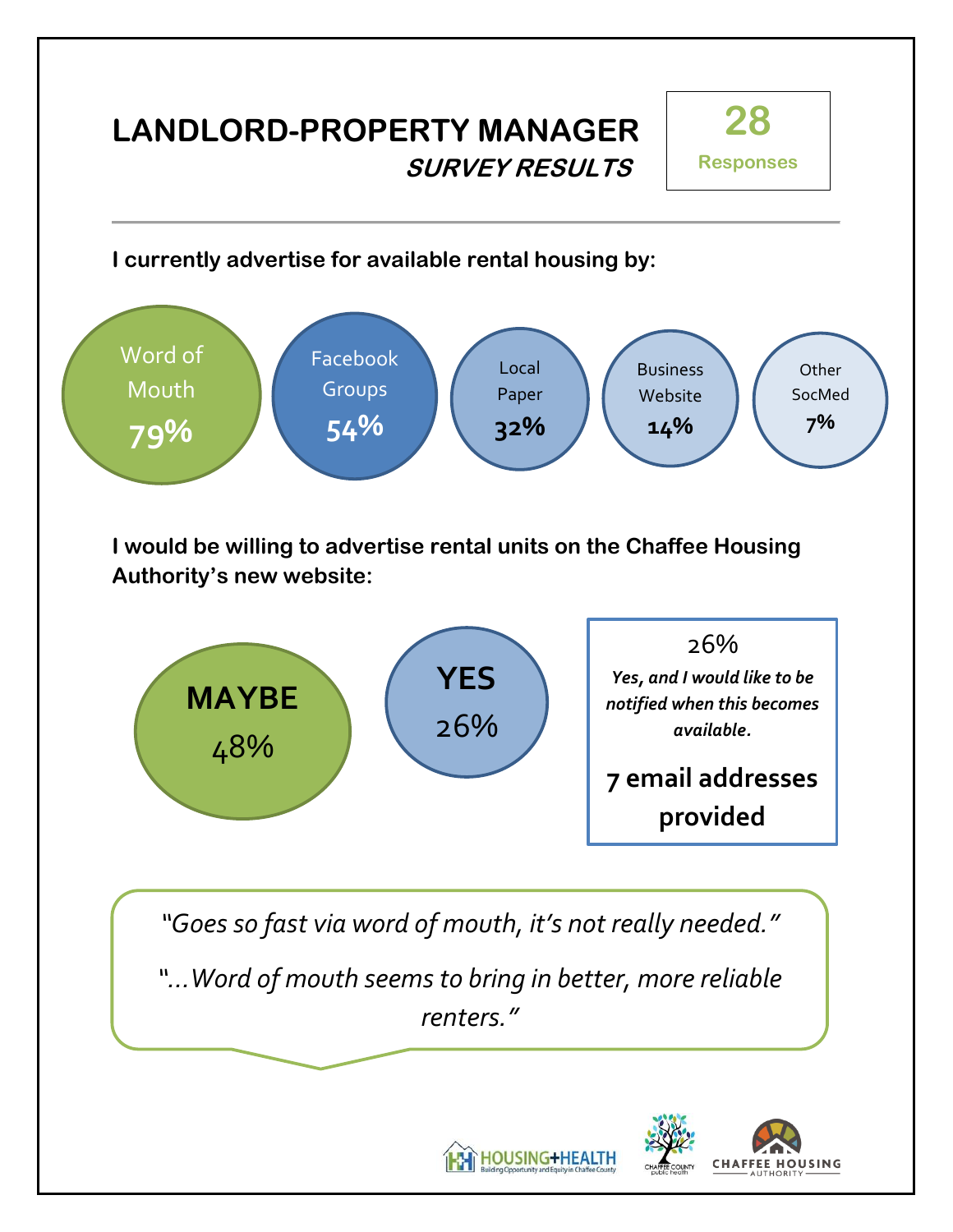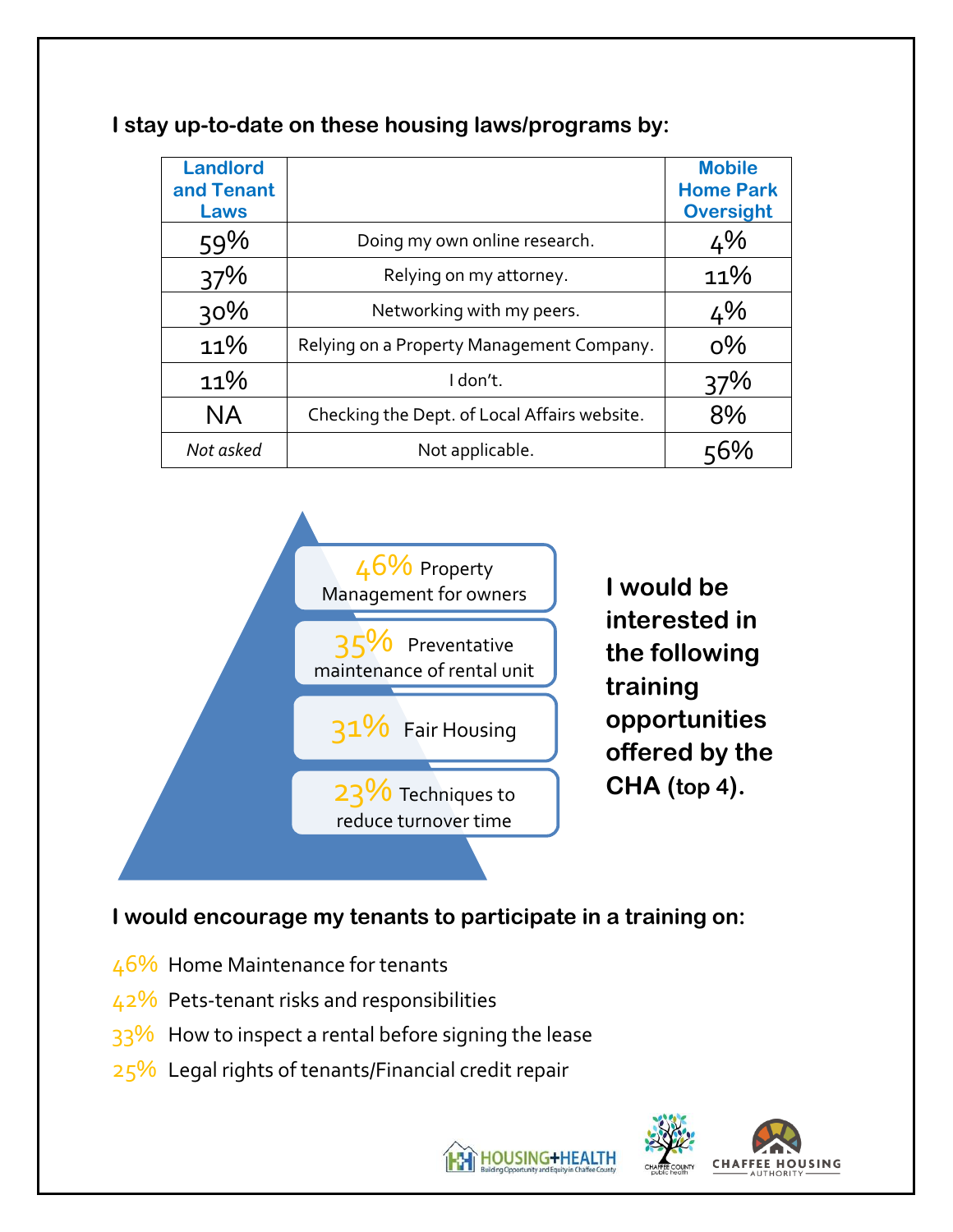| <b>Landlord</b><br>and Tenant<br>Laws |                                              | <b>Mobile</b><br><b>Home Park</b><br><b>Oversight</b> |
|---------------------------------------|----------------------------------------------|-------------------------------------------------------|
| 59%                                   | Doing my own online research.                | 4%                                                    |
| 37%                                   | Relying on my attorney.                      | 11%                                                   |
| 30%                                   | Networking with my peers.                    | 4%                                                    |
| 11%                                   | Relying on a Property Management Company.    | $O\%$                                                 |
| 11%                                   | I don't.                                     | 37%                                                   |
| <b>NA</b>                             | Checking the Dept. of Local Affairs website. | 8%                                                    |
| Not asked                             | Not applicable.                              |                                                       |

#### **I stay up-to-date on these housing laws/programs by:**



**I would be interested in the following training opportunities offered by the CHA (top 4).**

**I would encourage my tenants to participate in a training on:**

- 46% Home Maintenance for tenants
- 42% Pets-tenant risks and responsibilities
- $33\%$  How to inspect a rental before signing the lease
- $25\%$  Legal rights of tenants/Financial credit repair

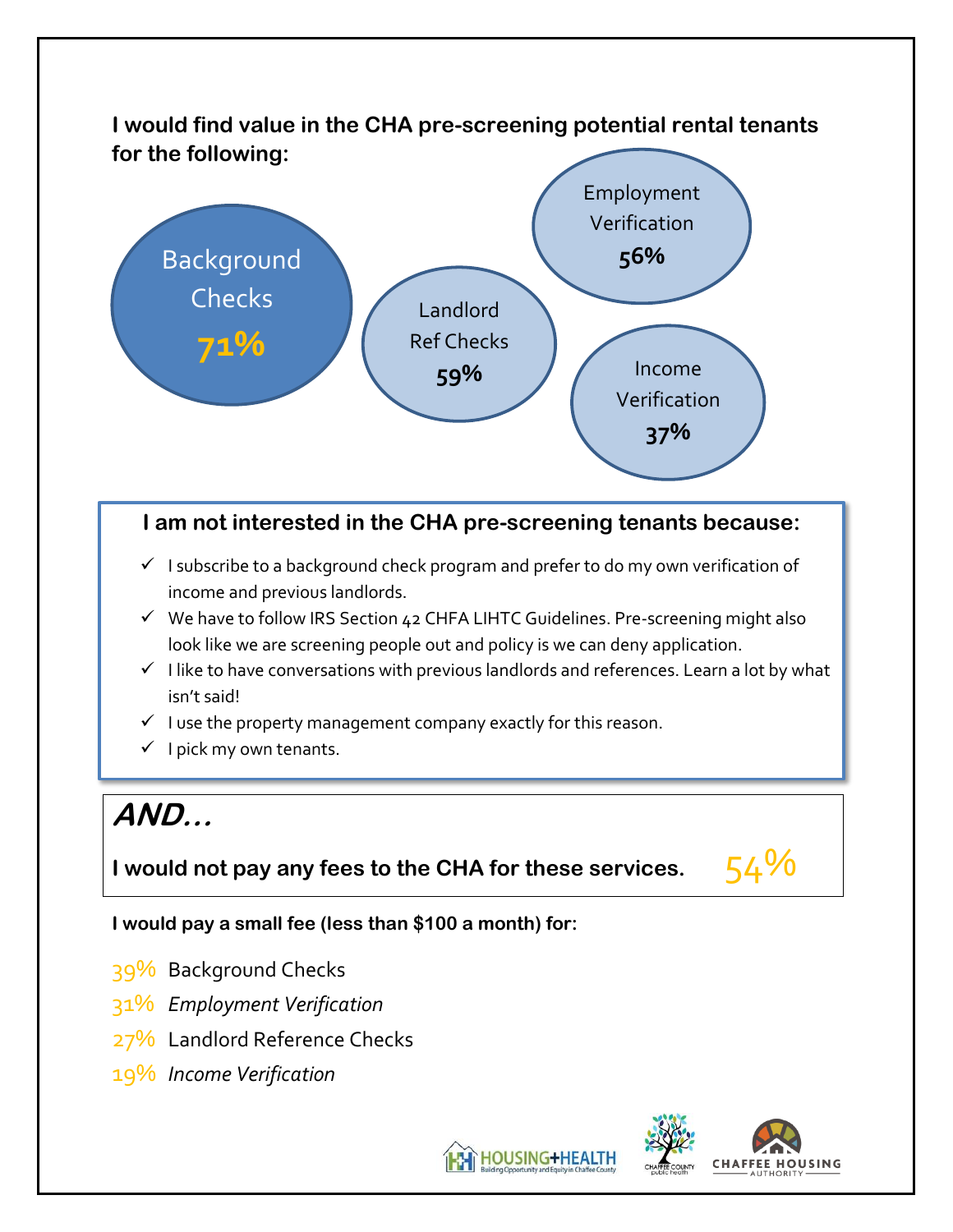## **I would find value in the CHA pre-screening potential rental tenants for the following:**



## **I am not interested in the CHA pre-screening tenants because:**

- $\checkmark$  I subscribe to a background check program and prefer to do my own verification of income and previous landlords.
- ✓ We have to follow IRS Section 42 CHFA LIHTC Guidelines. Pre-screening might also look like we are screening people out and policy is we can deny application.
- $\checkmark$  I like to have conversations with previous landlords and references. Learn a lot by what isn't said!
- $\checkmark$  I use the property management company exactly for this reason.
- $\checkmark$  I pick my own tenants.

# **AND…**

## **I** would not pay any fees to the CHA for these services.  $54\%$

#### **I would pay a small fee (less than \$100 a month) for:**

- 39% Background Checks
- 31% *Employment Verification*
- 27% Landlord Reference Checks
- 19% *Income Verification*

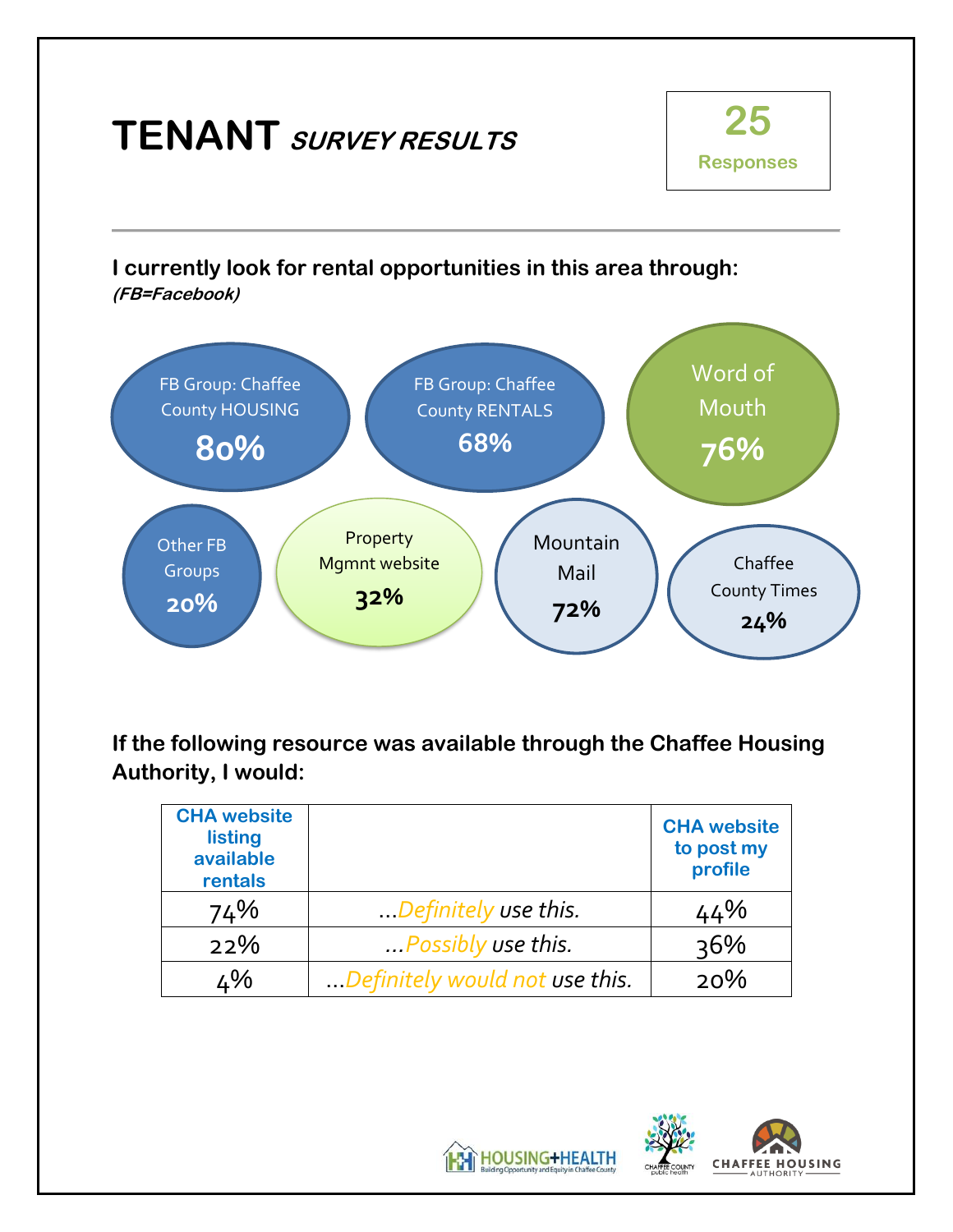

**If the following resource was available through the Chaffee Housing Authority, I would:**

| <b>CHA website</b><br>listing<br>available<br>rentals |                                | <b>CHA</b> website<br>to post my<br>profile |
|-------------------------------------------------------|--------------------------------|---------------------------------------------|
| 74%                                                   | Definitely use this.           | 44%                                         |
| 22%                                                   | Possibly use this.             | $36\%$                                      |
| ∡%                                                    | Definitely would not use this. | 20%                                         |